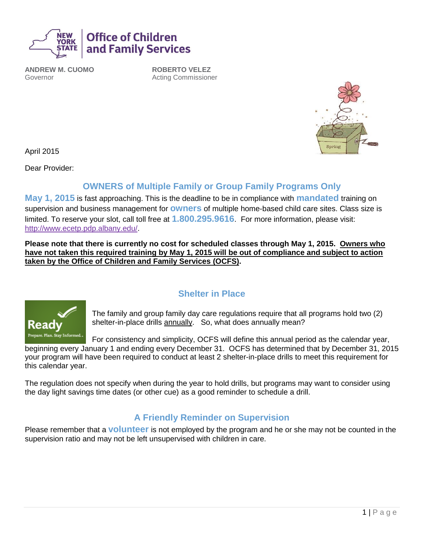

**ANDREW M. CUOMO** Governor

**ROBERTO VELEZ** Acting Commissioner



April 2015

Dear Provider:

## **OWNERS of Multiple Family or Group Family Programs Only**

**May 1, 2015** is fast approaching. This is the deadline to be in compliance with **mandated** training on supervision and business management for **owners** of multiple home-based child care sites. Class size is limited. To reserve your slot, call toll free at **1.800.295.9616**. For more information, please visit: http://www.ecetp.pdp.albany.edu/.

**Please note that there is currently no cost for scheduled classes through May 1, 2015. Owners who have not taken this required training by May 1, 2015 will be out of compliance and subject to action taken by the Office of Children and Family Services (OCFS).**



# **Shelter in Place**

The family and group family day care regulations require that all programs hold two (2) shelter-in-place drills annually. So, what does annually mean?

For consistency and simplicity, OCFS will define this annual period as the calendar year, beginning every January 1 and ending every December 31. OCFS has determined that by December 31, 2015 your program will have been required to conduct at least 2 shelter-in-place drills to meet this requirement for this calendar year.

The regulation does not specify when during the year to hold drills, but programs may want to consider using the day light savings time dates (or other cue) as a good reminder to schedule a drill.

### **A Friendly Reminder on Supervision**

Please remember that a **volunteer** is not employed by the program and he or she may not be counted in the supervision ratio and may not be left unsupervised with children in care.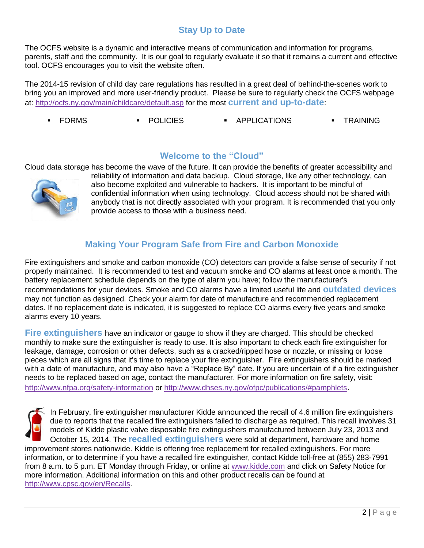# **Stay Up to Date**

The OCFS website is a dynamic and interactive means of communication and information for programs, parents, staff and the community. It is our goal to regularly evaluate it so that it remains a current and effective tool. OCFS encourages you to visit the website often.

The 2014-15 revision of child day care regulations has resulted in a great deal of behind-the-scenes work to bring you an improved and more user-friendly product. Please be sure to regularly check the OCFS webpage at:<http://ocfs.ny.gov/main/childcare/default.asp> for the most **current and up-to-date**:

FORMS POLICIES APPLICATIONS TRAINING

#### **Welcome to the "Cloud"**

Cloud data storage has become the wave of the future. It can provide the benefits of greater accessibility and



reliability of information and [data backup.](http://www.webopedia.com/TERM/B/backup.html) Cloud storage, like any other technology, can also become exploited and vulnerable to hackers. It is important to be mindful of confidential information when using technology. Cloud access should not be shared with anybody that is not directly associated with your program. It is recommended that you only provide access to those with a business need.

### **Making Your Program Safe from Fire and Carbon Monoxide**

Fire extinguishers and smoke and carbon monoxide (CO) detectors can provide a false sense of security if not properly maintained. It is recommended to test and vacuum smoke and CO alarms at least once a month. The battery replacement schedule depends on the type of alarm you have; follow the manufacturer's recommendations for your devices. Smoke and CO alarms have a limited useful life and **outdated devices** may not function as designed. Check your alarm for date of manufacture and recommended replacement dates. If no replacement date is indicated, it is suggested to replace CO alarms every five years and smoke alarms every 10 years.

**Fire extinguishers** have an indicator or gauge to show if they are charged. This should be checked monthly to make sure the extinguisher is ready to use. It is also important to check each fire extinguisher for leakage, damage, corrosion or other defects, such as a cracked/ripped hose or nozzle, or missing or loose pieces which are all signs that it's time to replace your fire extinguisher. Fire extinguishers should be marked with a date of manufacture, and may also have a "Replace By" date. If you are uncertain of if a fire extinguisher needs to be replaced based on age, contact the manufacturer. For more information on fire safety, visit: <http://www.nfpa.org/safety-information> or<http://www.dhses.ny.gov/ofpc/publications/#pamphlets>.

In February, fire extinguisher manufacturer Kidde announced the recall of 4.6 million fire extinguishers due to reports that the recalled fire extinguishers failed to discharge as required. This recall involves 31 models of Kidde plastic valve disposable fire extinguishers manufactured between July 23, 2013 and October 15, 2014. The **recalled extinguishers** were sold at department, hardware and home

improvement stores nationwide. Kidde is offering free replacement for recalled extinguishers. For more information, or to determine if you have a recalled fire extinguisher, contact Kidde toll-free at (855) 283-7991 from 8 a.m. to 5 p.m. ET Monday through Friday, or online at [www.kidde.com](http://www.kidde.com/) and click on Safety Notice for more information. Additional information on this and other product recalls can be found at [http://www.cpsc.gov/en/Recalls.](http://www.cpsc.gov/en/Recalls)